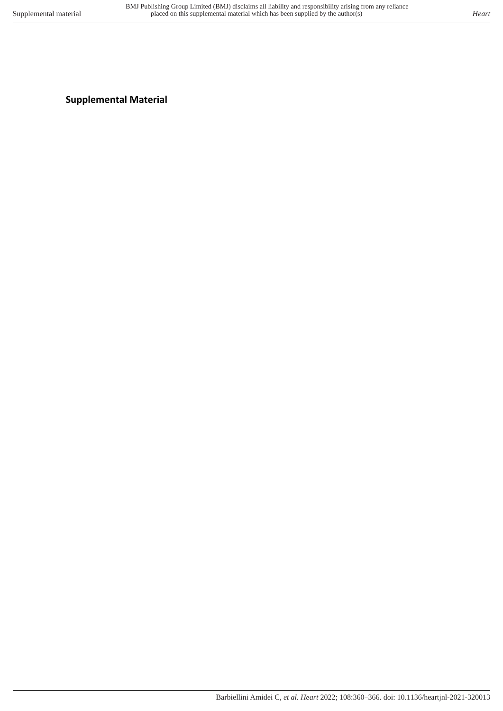# **Supplemental Material**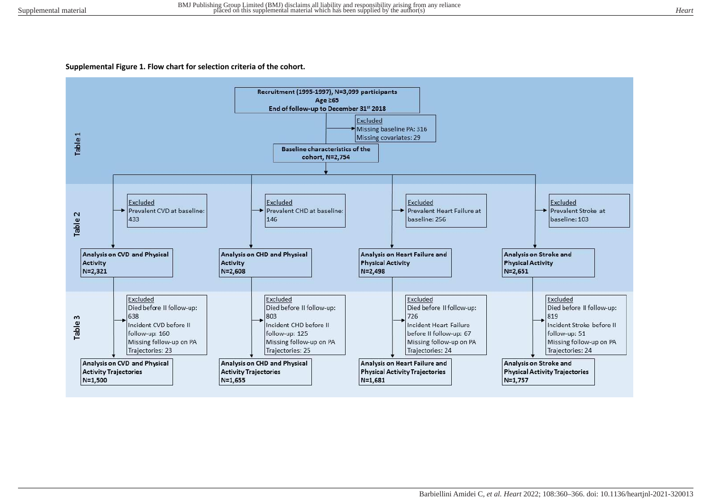#### **Supplemental Figure 1. Flow chart for selection criteria of the cohort.**

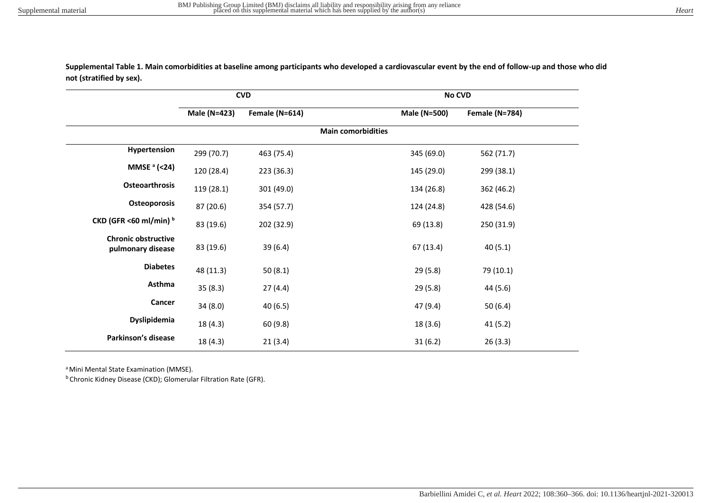**Supplemental Table 1. Main comorbidities at baseline among participants who developed a cardiovascular event by the end of follow-up and those who did not (stratified by sex).** 

|                                                 | <b>CVD</b>   |                |                           | No CVD       |                       |  |
|-------------------------------------------------|--------------|----------------|---------------------------|--------------|-----------------------|--|
|                                                 | Male (N=423) | Female (N=614) |                           | Male (N=500) | <b>Female (N=784)</b> |  |
|                                                 |              |                | <b>Main comorbidities</b> |              |                       |  |
| Hypertension                                    | 299 (70.7)   | 463 (75.4)     |                           | 345 (69.0)   | 562 (71.7)            |  |
| <b>MMSE</b> $a$ (<24)                           | 120 (28.4)   | 223 (36.3)     |                           | 145 (29.0)   | 299 (38.1)            |  |
| <b>Osteoarthrosis</b>                           | 119 (28.1)   | 301 (49.0)     |                           | 134 (26.8)   | 362 (46.2)            |  |
| Osteoporosis                                    | 87 (20.6)    | 354 (57.7)     |                           | 124 (24.8)   | 428 (54.6)            |  |
| CKD (GFR <60 ml/min) b                          | 83 (19.6)    | 202 (32.9)     |                           | 69 (13.8)    | 250 (31.9)            |  |
| <b>Chronic obstructive</b><br>pulmonary disease | 83 (19.6)    | 39 (6.4)       |                           | 67 (13.4)    | 40(5.1)               |  |
| <b>Diabetes</b>                                 | 48 (11.3)    | 50(8.1)        |                           | 29 (5.8)     | 79 (10.1)             |  |
| Asthma                                          | 35(8.3)      | 27(4.4)        |                           | 29 (5.8)     | 44 (5.6)              |  |
| Cancer                                          | 34(8.0)      | 40(6.5)        |                           | 47 (9.4)     | 50(6.4)               |  |
| <b>Dyslipidemia</b>                             | 18(4.3)      | 60(9.8)        |                           | 18 (3.6)     | 41 (5.2)              |  |
| Parkinson's disease                             | 18 (4.3)     | 21(3.4)        |                           | 31(6.2)      | 26(3.3)               |  |

<sup>a</sup> Mini Mental State Examination (MMSE).

<sup>b</sup> Chronic Kidney Disease (CKD); Glomerular Filtration Rate (GFR).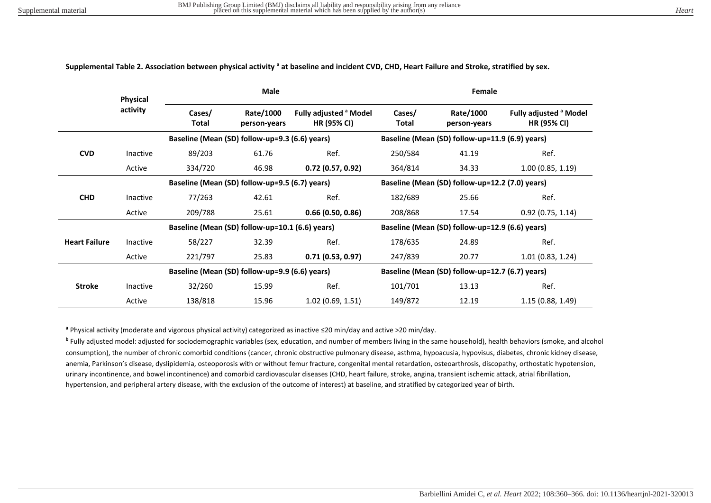|                      | <b>Physical</b><br>activity | <b>Male</b>                                     |                           |                                                         | Female                                          |                           |                                                         |  |
|----------------------|-----------------------------|-------------------------------------------------|---------------------------|---------------------------------------------------------|-------------------------------------------------|---------------------------|---------------------------------------------------------|--|
|                      |                             | Cases/<br>Total                                 | Rate/1000<br>person-years | Fully adjusted <sup>a</sup> Model<br><b>HR (95% CI)</b> | Cases/<br>Total                                 | Rate/1000<br>person-years | Fully adjusted <sup>a</sup> Model<br><b>HR (95% CI)</b> |  |
|                      |                             | Baseline (Mean (SD) follow-up=9.3 (6.6) years)  |                           |                                                         | Baseline (Mean (SD) follow-up=11.9 (6.9) years) |                           |                                                         |  |
| <b>CVD</b>           | Inactive                    | 89/203                                          | 61.76                     | Ref.                                                    | 250/584                                         | 41.19                     | Ref.                                                    |  |
|                      | Active                      | 334/720                                         | 46.98                     | 0.72(0.57, 0.92)                                        | 364/814                                         | 34.33                     | 1.00(0.85, 1.19)                                        |  |
|                      |                             | Baseline (Mean (SD) follow-up=9.5 (6.7) years)  |                           |                                                         | Baseline (Mean (SD) follow-up=12.2 (7.0) years) |                           |                                                         |  |
| <b>CHD</b>           | Inactive                    | 77/263                                          | 42.61                     | Ref.                                                    | 182/689                                         | 25.66                     | Ref.                                                    |  |
|                      | Active                      | 209/788                                         | 25.61                     | 0.66(0.50, 0.86)                                        | 208/868                                         | 17.54                     | 0.92(0.75, 1.14)                                        |  |
|                      |                             | Baseline (Mean (SD) follow-up=10.1 (6.6) years) |                           |                                                         | Baseline (Mean (SD) follow-up=12.9 (6.6) years) |                           |                                                         |  |
| <b>Heart Failure</b> | Inactive                    | 58/227                                          | 32.39                     | Ref.                                                    | 178/635                                         | 24.89                     | Ref.                                                    |  |
|                      | Active                      | 221/797                                         | 25.83                     | 0.71(0.53, 0.97)                                        | 247/839                                         | 20.77                     | 1.01(0.83, 1.24)                                        |  |
|                      |                             | Baseline (Mean (SD) follow-up=9.9 (6.6) years)  |                           |                                                         | Baseline (Mean (SD) follow-up=12.7 (6.7) years) |                           |                                                         |  |
| <b>Stroke</b>        | Inactive                    | 32/260                                          | 15.99                     | Ref.                                                    | 101/701                                         | 13.13                     | Ref.                                                    |  |
|                      | Active                      | 138/818                                         | 15.96                     | 1.02(0.69, 1.51)                                        | 149/872                                         | 12.19                     | 1.15(0.88, 1.49)                                        |  |

#### Supplemental Table 2. Association between physical activity <sup>a</sup> at baseline and incident CVD, CHD, Heart Failure and Stroke, stratified by sex.

**a** Physical activity (moderate and vigorous physical activity) categorized as inactive ≤20 min/day and active >20 min/day.

**b** Fully adjusted model: adjusted for sociodemographic variables (sex, education, and number of members living in the same household), health behaviors (smoke, and alcohol consumption), the number of chronic comorbid conditions (cancer, chronic obstructive pulmonary disease, asthma, hypoacusia, hypovisus, diabetes, chronic kidney disease, anemia, Parkinson's disease, dyslipidemia, osteoporosis with or without femur fracture, congenital mental retardation, osteoarthrosis, discopathy, orthostatic hypotension, urinary incontinence, and bowel incontinence) and comorbid cardiovascular diseases (CHD, heart failure, stroke, angina, transient ischemic attack, atrial fibrillation, hypertension, and peripheral artery disease, with the exclusion of the outcome of interest) at baseline, and stratified by categorized year of birth.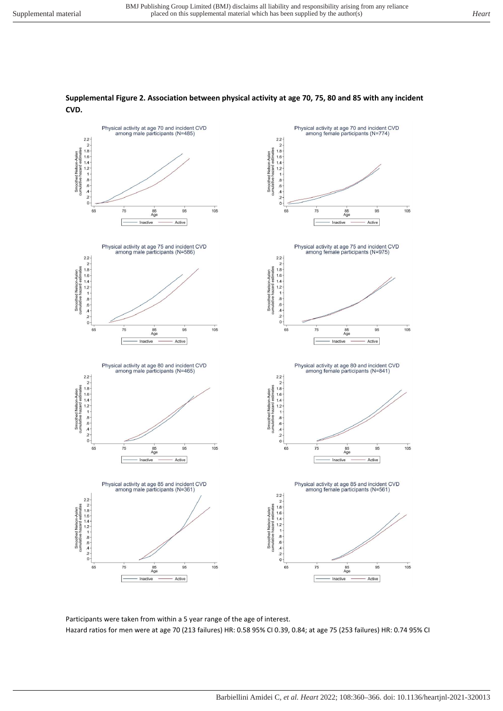#### Physical activity at age 70 and incident CVD<br>among male participants (N=485) Physical activity at age 70 and incident CVD<br>among female participants (N=774) 2.2 - 2 - 2 - 2 - 2 - 3 - 3 - 4 - 2 - 3 - 3 - 4 - 2 - 4 - 2 - 4 - 2 - 4 - 2 - 4 - 2 - 4 - 2 - 4 - 2 - 4 - 2 - 4 - 2 - 4 - 2 - 4 - 2 - 4 - 2 - 4 - 2 - 4 - 2 - 4 - 2 - 4 - 2 - 4 - 2 - 4 - 2 - 4 - 2 - 4 - 2 - 4 - 2 - 4 - 2 - $2.2$  $\overline{2}$ Smoothed Nelson-Aalen<br>umulative hazard estimates Smoothed Nelson-Aalen<br>cumulative hazard estimates 1.8<br>1.6<br>1.4<br>1.2<br>1<br>3<br>6<br>6<br>4<br>2  $\Omega$  $\circ$  $105$  $105$  $65$  $75$  $95$  $65$  $75$  $95$ 85<br>Age 85<br>Ag Inactive Active Inactive Active Physical activity at age 75 and incident CVD<br>among male participants (N=586) Physical activity at age 75 and incident CVD<br>among female participants (N=975) 2.2 -<br>
2 -<br>
1.8 -<br>
1.6 -<br>
1.4 -<br>
1.2 -<br>
1.8 -<br>
4 -<br>
2 -<br>
0  $rac{2.2}{2}$ Smoothed Nelson-Aalen<br>cumulative hazard estimates Smoothed Nelson-Aalen<br>cumulative hazard estimates 1.8 1.6 1.4 1.2 1 8 .6 .6 4 2  $\Omega$  $65$  $75$  $\overline{95}$  $105$  $75$  $\frac{1}{95}$  $105$  $rac{85}{Aq}$  $65$  $rac{85}{Aq}$ nactive Active Inactive Active Physical activity at age 80 and incident CVD<br>among female participants (N=841) Physical activity at age 80 and incident CVD among male participants (N=465) 2.2 - 2 - 1.8 - 1.6 - 1.4 - 2 - 1.8 - 2 - 1.8 - 2 - 0 - 2 - 0 - 2 - 0 - 2 - 0 - 2 - 0 - 2 - 0 - 2 - 0 - 2 - 0 - 2 - 0 - 2 - 0 - 2 - 0 - 2 - 0 - 2 - 0 - 2 - 0 - 2 - 0 - 2 - 0 - 2 - 0 - 2 - 0 - 2 - 0 - 2 - 0 - 2 - 0 - 2 - 0  $2.2 \overline{2}$ Smoothed Nelson-Aalen<br>cumulative hazard estimates<br>cumulative hazard estimates<br> $\frac{1}{p}$   $\frac{1}{p}$   $\frac{1}{p}$   $\frac{1}{p}$   $\frac{1}{p}$   $\frac{1}{p}$   $\frac{1}{p}$ Smoothed Nelson-Aalen<br>cumulative hazard estimates 65  $95$  $105$ 65  $95$  $105$  $75$  $\frac{85}{Age}$  $75$  $\frac{85}{\text{Ag}}$ Active Active Inactive Inactive Physical activity at age 85 and incident CVD Physical activity at age 85 and incident CVD among male participants (N=361) among female participants (N=561)  $2.2$ 2.2 - 2 - 2 - 2 - 2 - 3 - 4 - 6 - 4 - 2 - 6 - 4 - 2 - 0 - 4 - 2 - 0 - 4 - 2 - 0 - 4 - 2 - 0 - 4 - 2 - 0 - 4 - 2 - 0 - 4 - 2 - 0 - 4 - 2 - 0 - 4 - 2 - 0 - 4 - 2 - 0 - 4 - 2 - 0 - 4 - 2 - 0 - 4 - 2 - 0 - 4 - 2 - 0 - 4 - 2 -Smoothed Melson-Aalen<br>cumulative hazard estimates<br>contains to  $\alpha$ ,  $\alpha$ ,  $\alpha$ ,  $\alpha$ ,  $\alpha$ ,  $\alpha$ ,  $\alpha$ ,  $\alpha$ ,  $\alpha$ ,  $\alpha$ ,  $\alpha$ ,  $\alpha$ ,  $\alpha$ ,  $\alpha$ ,  $\alpha$ ,  $\alpha$ ,  $\alpha$ ,  $\alpha$ ,  $\alpha$ ,  $\alpha$ ,  $\alpha$ ,  $\alpha$ ,  $\alpha$ ,  $\alpha$ ,  $\alpha$ ,  $\alpha$ ,  $\alpha$ Smoothed Nelson-Aalen<br>zumulative hazard estimates  $105$  $65$  $75$  $105$  $75$  $95$  $95$  $65$  $\frac{85}{Age}$  $\frac{85}{\text{Ag}}$ Active Active Inactive Inactive

#### **Supplemental Figure 2. Association between physical activity at age 70, 75, 80 and 85 with any incident CVD.**

Participants were taken from within a 5 year range of the age of interest. Hazard ratios for men were at age 70 (213 failures) HR: 0.58 95% CI 0.39, 0.84; at age 75 (253 failures) HR: 0.74 95% CI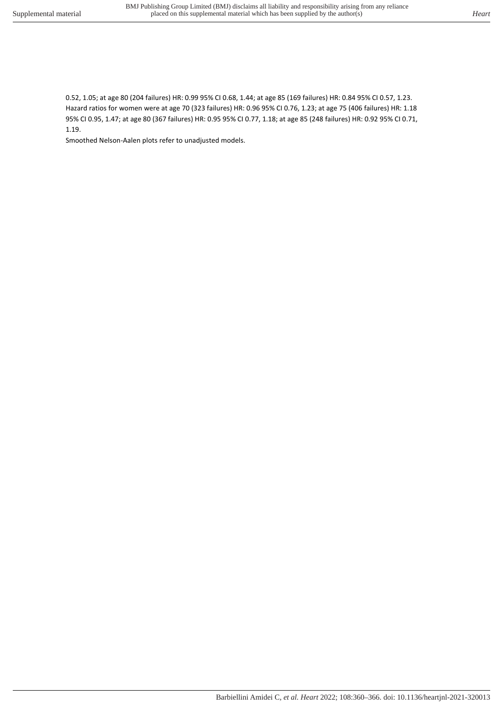0.52, 1.05; at age 80 (204 failures) HR: 0.99 95% CI 0.68, 1.44; at age 85 (169 failures) HR: 0.84 95% CI 0.57, 1.23. Hazard ratios for women were at age 70 (323 failures) HR: 0.96 95% CI 0.76, 1.23; at age 75 (406 failures) HR: 1.18 95% CI 0.95, 1.47; at age 80 (367 failures) HR: 0.95 95% CI 0.77, 1.18; at age 85 (248 failures) HR: 0.92 95% CI 0.71, 1.19.

Smoothed Nelson-Aalen plots refer to unadjusted models.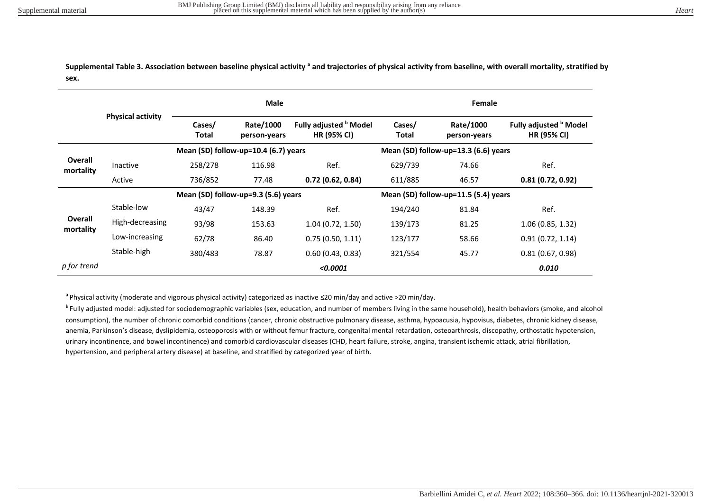Supplemental Table 3. Association between baseline physical activity <sup>a</sup> and trajectories of physical activity from baseline, with overall mortality, stratified by **sex.** 

|                             |                          | <b>Male</b>                         |                                      |                                                         | Female                               |                           |                                                     |  |
|-----------------------------|--------------------------|-------------------------------------|--------------------------------------|---------------------------------------------------------|--------------------------------------|---------------------------|-----------------------------------------------------|--|
|                             | <b>Physical activity</b> | Cases/<br>Total                     | Rate/1000<br>person-years            | Fully adjusted <sup>b</sup> Model<br><b>HR (95% CI)</b> | Cases/<br>Total                      | Rate/1000<br>person-years | Fully adjusted <b>b</b> Model<br><b>HR (95% CI)</b> |  |
|                             |                          |                                     | Mean (SD) follow-up=10.4 (6.7) years |                                                         | Mean (SD) follow-up=13.3 (6.6) years |                           |                                                     |  |
| <b>Overall</b><br>mortality | Inactive                 | 258/278                             | 116.98                               | Ref.                                                    | 629/739                              | 74.66                     | Ref.                                                |  |
|                             | Active                   | 736/852                             | 77.48                                | 0.72(0.62, 0.84)                                        | 611/885                              | 46.57                     | 0.81(0.72, 0.92)                                    |  |
|                             |                          | Mean (SD) follow-up=9.3 (5.6) years |                                      |                                                         | Mean (SD) follow-up=11.5 (5.4) years |                           |                                                     |  |
|                             | Stable-low               | 43/47                               | 148.39                               | Ref.                                                    | 194/240                              | 81.84                     | Ref.                                                |  |
| Overall<br>mortality        | High-decreasing          | 93/98                               | 153.63                               | 1.04(0.72, 1.50)                                        | 139/173                              | 81.25                     | 1.06(0.85, 1.32)                                    |  |
|                             | Low-increasing           | 62/78                               | 86.40                                | 0.75(0.50, 1.11)                                        | 123/177                              | 58.66                     | 0.91(0.72, 1.14)                                    |  |
|                             | Stable-high              | 380/483                             | 78.87                                | 0.60(0.43, 0.83)                                        | 321/554                              | 45.77                     | 0.81(0.67, 0.98)                                    |  |
| p for trend                 |                          |                                     |                                      | < 0.0001                                                |                                      |                           | 0.010                                               |  |

**<sup>a</sup>**Physical activity (moderate and vigorous physical activity) categorized as inactive ≤20 min/day and active >20 min/day.

**<sup>b</sup>**Fully adjusted model: adjusted for sociodemographic variables (sex, education, and number of members living in the same household), health behaviors (smoke, and alcohol consumption), the number of chronic comorbid conditions (cancer, chronic obstructive pulmonary disease, asthma, hypoacusia, hypovisus, diabetes, chronic kidney disease, anemia, Parkinson's disease, dyslipidemia, osteoporosis with or without femur fracture, congenital mental retardation, osteoarthrosis, discopathy, orthostatic hypotension, urinary incontinence, and bowel incontinence) and comorbid cardiovascular diseases (CHD, heart failure, stroke, angina, transient ischemic attack, atrial fibrillation, hypertension, and peripheral artery disease) at baseline, and stratified by categorized year of birth.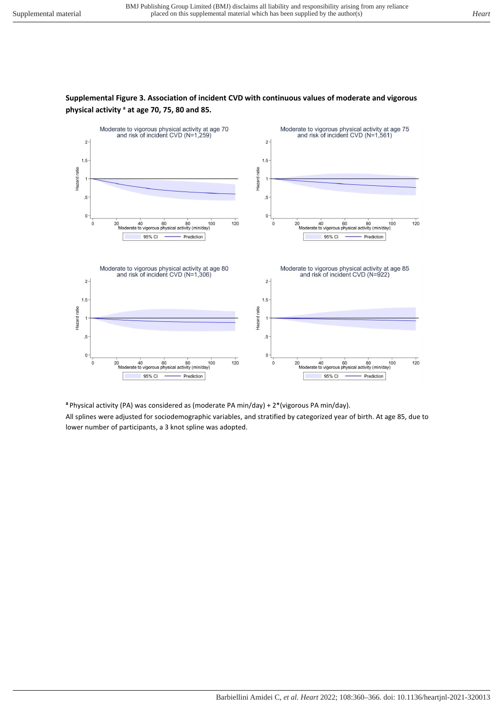$\mathbf{0}$ 

 $\ddot{o}$ 



### **Supplemental Figure 3. Association of incident CVD with continuous values of moderate and vigorous physical activity <sup>a</sup> at age 70, 75, 80 and 85.**

**<sup>a</sup>**Physical activity (PA) was considered as (moderate PA min/day) + 2\*(vigorous PA min/day).

 $120$ 

20 40 60 80 100<br>Moderate to vigorous physical activity (min/day)

Prediction

95% CI

All splines were adjusted for sociodemographic variables, and stratified by categorized year of birth. At age 85, due to lower number of participants, a 3 knot spline was adopted.

 $\mathbf{0}$ 

 $\ddot{o}$ 

 $120$ 

20 40 60 80 100<br>Moderate to vigorous physical activity (min/day)

Prediction

95% CI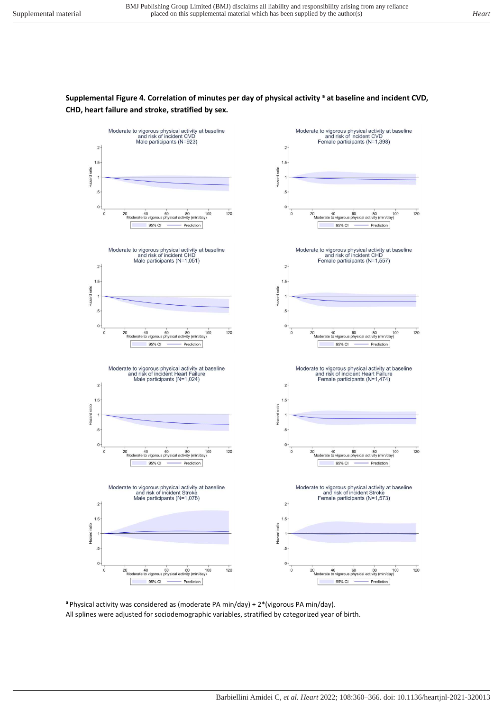# **Supplemental Figure 4. Correlation of minutes per day of physical activity <sup>a</sup> at baseline and incident CVD, CHD, heart failure and stroke, stratified by sex.**



**<sup>a</sup>**Physical activity was considered as (moderate PA min/day) + 2\*(vigorous PA min/day). All splines were adjusted for sociodemographic variables, stratified by categorized year of birth.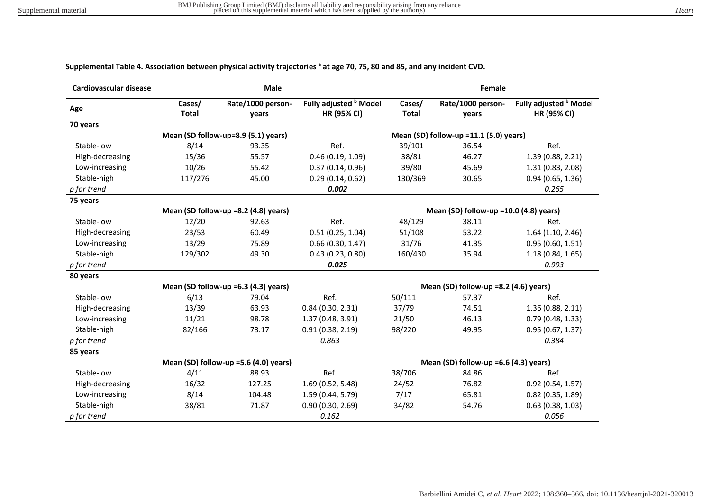| Cardiovascular disease |                        | <b>Male</b>                           |                                              |                                        | <b>Female</b>              |                                              |  |
|------------------------|------------------------|---------------------------------------|----------------------------------------------|----------------------------------------|----------------------------|----------------------------------------------|--|
| Age                    | Cases/<br><b>Total</b> | Rate/1000 person-<br>years            | Fully adjusted <b>b</b> Model<br>HR (95% CI) | Cases/<br><b>Total</b>                 | Rate/1000 person-<br>years | Fully adjusted <b>b</b> Model<br>HR (95% CI) |  |
| 70 years               |                        |                                       |                                              |                                        |                            |                                              |  |
|                        |                        | Mean (SD follow-up=8.9 (5.1) years)   |                                              | Mean (SD) follow-up =11.1 (5.0) years) |                            |                                              |  |
| Stable-low             | 8/14                   | 93.35                                 | Ref.                                         | 39/101                                 | 36.54                      | Ref.                                         |  |
| High-decreasing        | 15/36                  | 55.57                                 | 0.46(0.19, 1.09)                             | 38/81                                  | 46.27                      | 1.39 (0.88, 2.21)                            |  |
| Low-increasing         | 10/26                  | 55.42                                 | 0.37(0.14, 0.96)                             | 39/80                                  | 45.69                      | 1.31 (0.83, 2.08)                            |  |
| Stable-high            | 117/276                | 45.00                                 | 0.29(0.14, 0.62)                             | 130/369                                | 30.65                      | 0.94(0.65, 1.36)                             |  |
| p for trend            |                        |                                       | 0.002                                        |                                        |                            | 0.265                                        |  |
| 75 years               |                        |                                       |                                              |                                        |                            |                                              |  |
|                        |                        | Mean (SD follow-up =8.2 (4.8) years)  |                                              | Mean (SD) follow-up =10.0 (4.8) years) |                            |                                              |  |
| Stable-low             | 12/20                  | 92.63                                 | Ref.                                         | 48/129                                 | 38.11                      | Ref.                                         |  |
| High-decreasing        | 23/53                  | 60.49                                 | 0.51(0.25, 1.04)                             | 51/108                                 | 53.22                      | 1.64(1.10, 2.46)                             |  |
| Low-increasing         | 13/29                  | 75.89                                 | 0.66(0.30, 1.47)                             | 31/76                                  | 41.35                      | 0.95(0.60, 1.51)                             |  |
| Stable-high            | 129/302                | 49.30                                 | 0.43(0.23, 0.80)                             | 160/430                                | 35.94                      | 1.18(0.84, 1.65)                             |  |
| p for trend            |                        |                                       | 0.025                                        |                                        |                            | 0.993                                        |  |
| 80 years               |                        |                                       |                                              |                                        |                            |                                              |  |
|                        |                        | Mean (SD follow-up =6.3 (4.3) years)  |                                              | Mean (SD) follow-up =8.2 (4.6) years)  |                            |                                              |  |
| Stable-low             | 6/13                   | 79.04                                 | Ref.                                         | 50/111                                 | 57.37                      | Ref.                                         |  |
| High-decreasing        | 13/39                  | 63.93                                 | 0.84(0.30, 2.31)                             | 37/79                                  | 74.51                      | 1.36(0.88, 2.11)                             |  |
| Low-increasing         | 11/21                  | 98.78                                 | 1.37 (0.48, 3.91)                            | 21/50                                  | 46.13                      | 0.79(0.48, 1.33)                             |  |
| Stable-high            | 82/166                 | 73.17                                 | 0.91(0.38, 2.19)                             | 98/220                                 | 49.95                      | 0.95(0.67, 1.37)                             |  |
| p for trend            |                        |                                       | 0.863                                        |                                        |                            | 0.384                                        |  |
| 85 years               |                        |                                       |                                              |                                        |                            |                                              |  |
|                        |                        | Mean (SD) follow-up =5.6 (4.0) years) |                                              | Mean (SD) follow-up =6.6 (4.3) years)  |                            |                                              |  |
| Stable-low             | 4/11                   | 88.93                                 | Ref.                                         | 38/706                                 | 84.86                      | Ref.                                         |  |
| High-decreasing        | 16/32                  | 127.25                                | 1.69 (0.52, 5.48)                            | 24/52                                  | 76.82                      | 0.92(0.54, 1.57)                             |  |
| Low-increasing         | 8/14                   | 104.48                                | 1.59 (0.44, 5.79)                            | 7/17                                   | 65.81                      | $0.82$ (0.35, 1.89)                          |  |
| Stable-high            | 38/81                  | 71.87                                 | 0.90(0.30, 2.69)                             | 34/82                                  | 54.76                      | 0.63(0.38, 1.03)                             |  |
| p for trend            |                        |                                       | 0.162                                        |                                        |                            | 0.056                                        |  |

#### **Supplemental Table 4. Association between physical activity trajectories <sup>a</sup> at age 70, 75, 80 and 85, and any incident CVD.**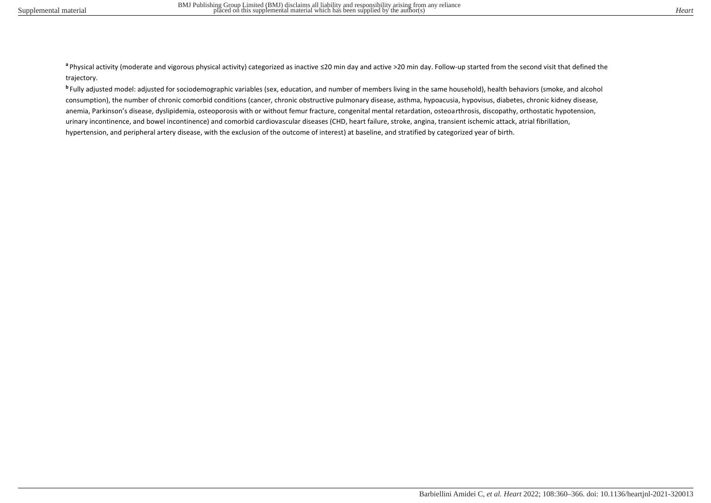a Physical activity (moderate and vigorous physical activity) categorized as inactive ≤20 min day and active >20 min day. Follow-up started from the second visit that defined the trajectory.

**b** Fully adjusted model: adjusted for sociodemographic variables (sex, education, and number of members living in the same household), health behaviors (smoke, and alcohol consumption), the number of chronic comorbid conditions (cancer, chronic obstructive pulmonary disease, asthma, hypoacusia, hypovisus, diabetes, chronic kidney disease, anemia, Parkinson's disease, dyslipidemia, osteoporosis with or without femur fracture, congenital mental retardation, osteoarthrosis, discopathy, orthostatic hypotension, urinary incontinence, and bowel incontinence) and comorbid cardiovascular diseases (CHD, heart failure, stroke, angina, transient ischemic attack, atrial fibrillation, hypertension, and peripheral artery disease, with the exclusion of the outcome of interest) at baseline, and stratified by categorized year of birth.